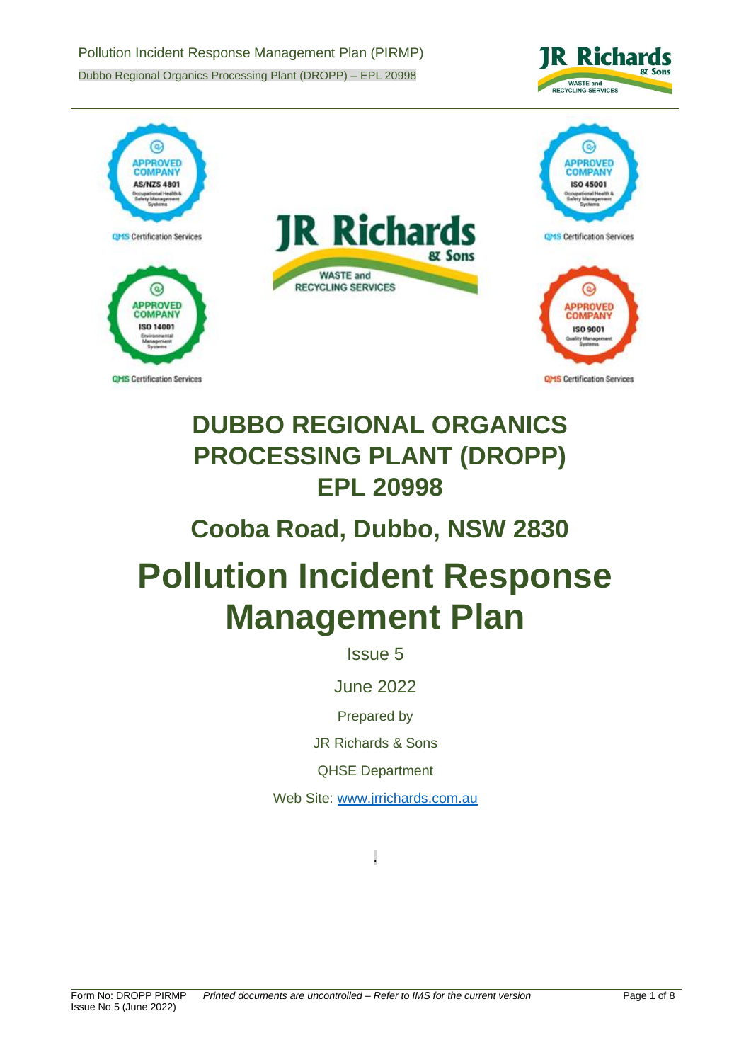Pollution Incident Response Management Plan (PIRMP) Dubbo Regional Organics Processing Plant (DROPP) – EPL 20998





# **DUBBO REGIONAL ORGANICS PROCESSING PLANT (DROPP) EPL 20998**

## **Cooba Road, Dubbo, NSW 2830**

# **Pollution Incident Response Management Plan**

Issue 5

June 2022

Prepared by

JR Richards & Sons

QHSE Department

Web Site: [www.jrrichards.com.au](http://www.jrrichards.com.au/)

.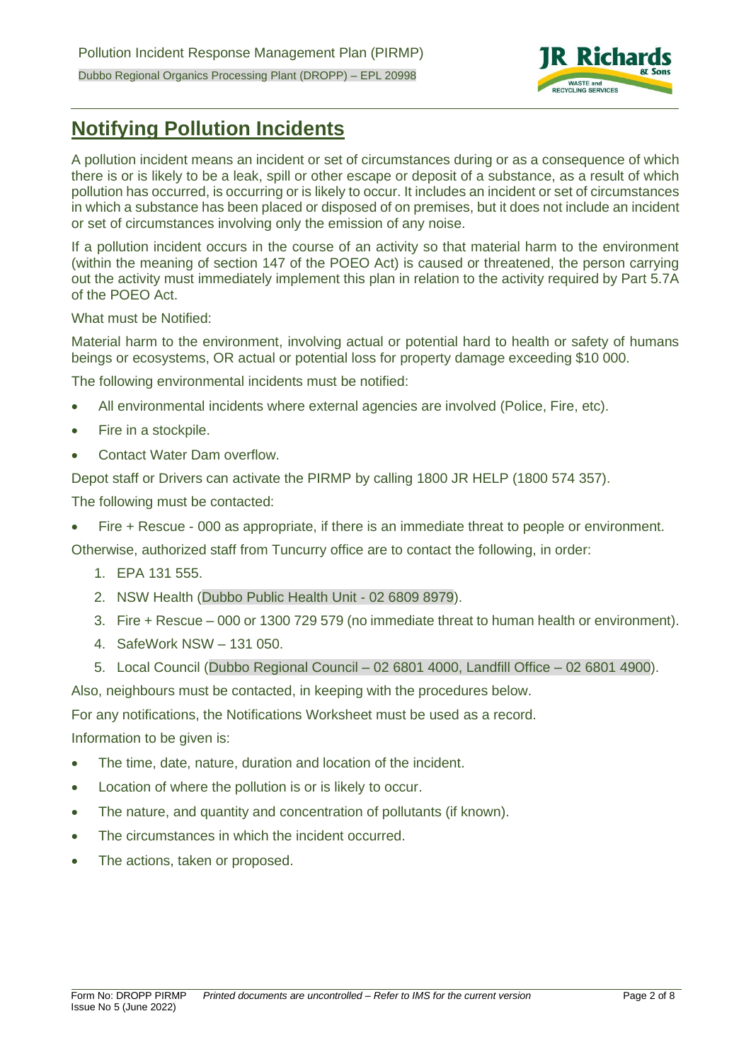

## **Notifying Pollution Incidents**

A pollution incident means an incident or set of circumstances during or as a consequence of which there is or is likely to be a leak, spill or other escape or deposit of a substance, as a result of which pollution has occurred, is occurring or is likely to occur. It includes an incident or set of circumstances in which a substance has been placed or disposed of on premises, but it does not include an incident or set of circumstances involving only the emission of any noise.

If a pollution incident occurs in the course of an activity so that material harm to the environment (within the meaning of section 147 of the POEO Act) is caused or threatened, the person carrying out the activity must immediately implement this plan in relation to the activity required by Part 5.7A of the POEO Act.

What must be Notified:

Material harm to the environment, involving actual or potential hard to health or safety of humans beings or ecosystems, OR actual or potential loss for property damage exceeding \$10 000.

The following environmental incidents must be notified:

- All environmental incidents where external agencies are involved (Police, Fire, etc).
- Fire in a stockpile.
- Contact Water Dam overflow.

Depot staff or Drivers can activate the PIRMP by calling 1800 JR HELP (1800 574 357).

The following must be contacted:

• Fire + Rescue - 000 as appropriate, if there is an immediate threat to people or environment.

Otherwise, authorized staff from Tuncurry office are to contact the following, in order:

- 1. EPA 131 555.
- 2. NSW Health (Dubbo Public Health Unit 02 6809 8979).
- 3. Fire + Rescue 000 or 1300 729 579 (no immediate threat to human health or environment).
- 4. SafeWork NSW 131 050.
- 5. Local Council (Dubbo Regional Council 02 6801 4000, Landfill Office 02 6801 4900).

Also, neighbours must be contacted, in keeping with the procedures below.

For any notifications, the Notifications Worksheet must be used as a record.

Information to be given is:

- The time, date, nature, duration and location of the incident.
- Location of where the pollution is or is likely to occur.
- The nature, and quantity and concentration of pollutants (if known).
- The circumstances in which the incident occurred.
- The actions, taken or proposed.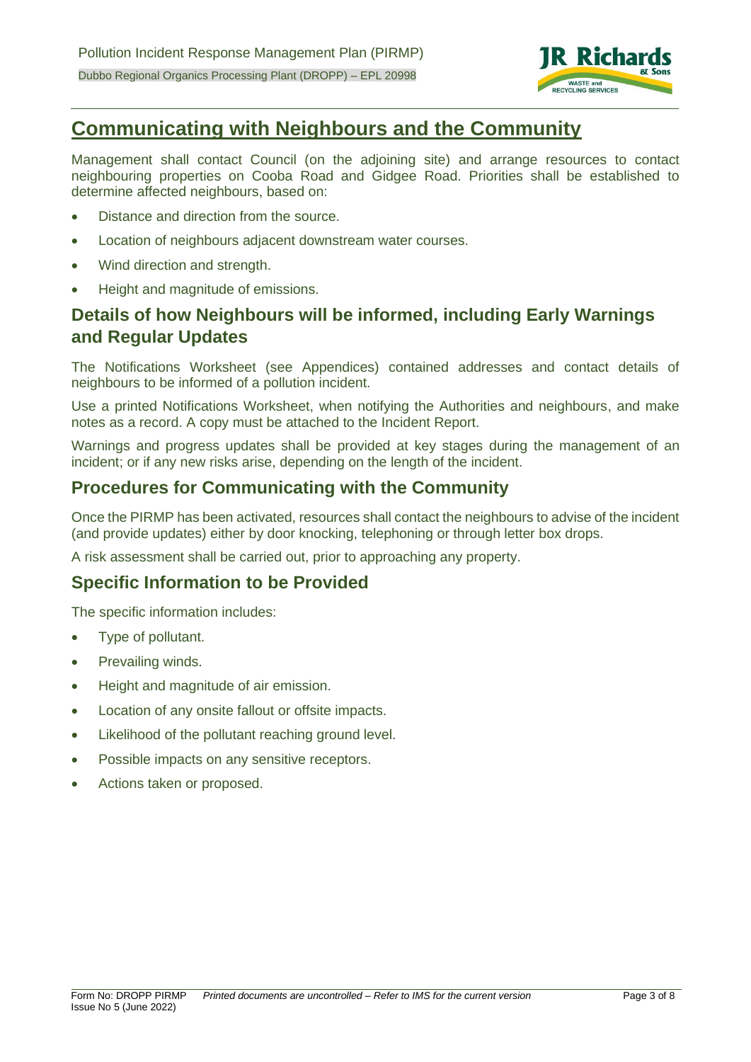

## **Communicating with Neighbours and the Community**

Management shall contact Council (on the adjoining site) and arrange resources to contact neighbouring properties on Cooba Road and Gidgee Road. Priorities shall be established to determine affected neighbours, based on:

- Distance and direction from the source.
- Location of neighbours adjacent downstream water courses.
- Wind direction and strength.
- Height and magnitude of emissions.

## **Details of how Neighbours will be informed, including Early Warnings and Regular Updates**

The Notifications Worksheet (see Appendices) contained addresses and contact details of neighbours to be informed of a pollution incident.

Use a printed Notifications Worksheet, when notifying the Authorities and neighbours, and make notes as a record. A copy must be attached to the Incident Report.

Warnings and progress updates shall be provided at key stages during the management of an incident; or if any new risks arise, depending on the length of the incident.

### **Procedures for Communicating with the Community**

Once the PIRMP has been activated, resources shall contact the neighbours to advise of the incident (and provide updates) either by door knocking, telephoning or through letter box drops.

A risk assessment shall be carried out, prior to approaching any property.

#### **Specific Information to be Provided**

The specific information includes:

- Type of pollutant.
- Prevailing winds.
- Height and magnitude of air emission.
- Location of any onsite fallout or offsite impacts.
- Likelihood of the pollutant reaching ground level.
- Possible impacts on any sensitive receptors.
- Actions taken or proposed.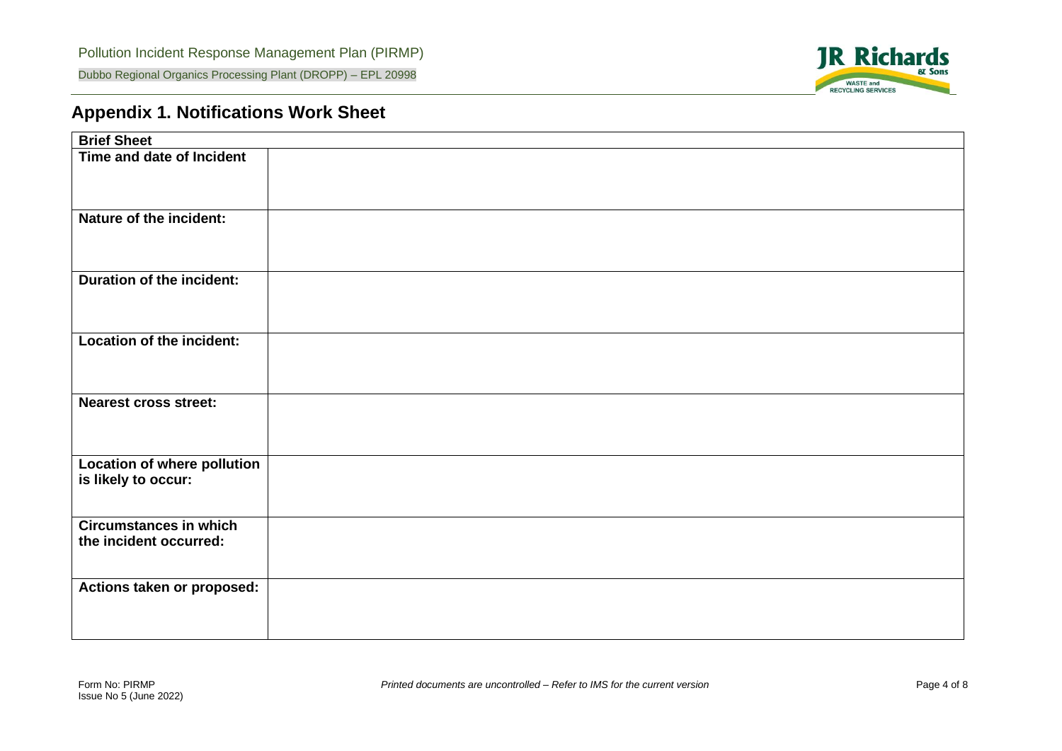

## **Appendix 1. Notifications Work Sheet**

| <b>Brief Sheet</b>                                        |  |
|-----------------------------------------------------------|--|
| Time and date of Incident                                 |  |
| Nature of the incident:                                   |  |
| <b>Duration of the incident:</b>                          |  |
| Location of the incident:                                 |  |
| <b>Nearest cross street:</b>                              |  |
| <b>Location of where pollution</b><br>is likely to occur: |  |
| <b>Circumstances in which</b><br>the incident occurred:   |  |
| Actions taken or proposed:                                |  |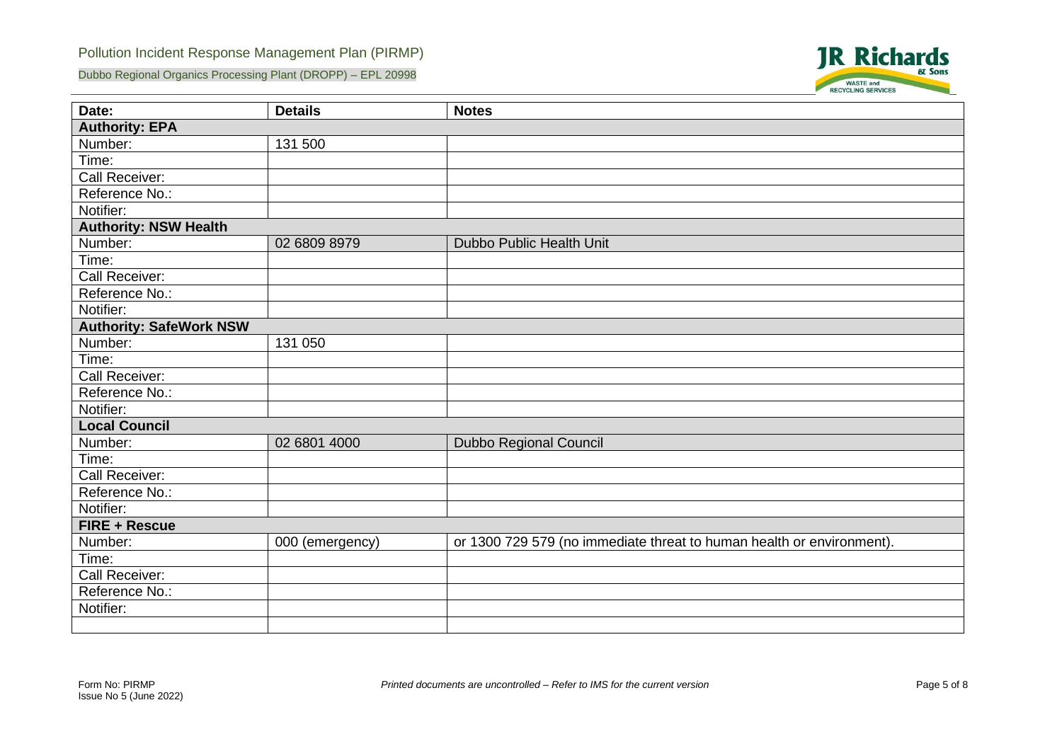#### Pollution Incident Response Management Plan (PIRMP)

Dubbo Regional Organics Processing Plant (DROPP) – EPL 20998



| Date:                          | <b>Details</b>  | <b>Notes</b>                                                          |  |  |  |  |  |
|--------------------------------|-----------------|-----------------------------------------------------------------------|--|--|--|--|--|
| <b>Authority: EPA</b>          |                 |                                                                       |  |  |  |  |  |
| Number:                        | 131 500         |                                                                       |  |  |  |  |  |
| Time:                          |                 |                                                                       |  |  |  |  |  |
| Call Receiver:                 |                 |                                                                       |  |  |  |  |  |
| Reference No.:                 |                 |                                                                       |  |  |  |  |  |
| Notifier:                      |                 |                                                                       |  |  |  |  |  |
| <b>Authority: NSW Health</b>   |                 |                                                                       |  |  |  |  |  |
| Number:                        | 02 6809 8979    | Dubbo Public Health Unit                                              |  |  |  |  |  |
| Time:                          |                 |                                                                       |  |  |  |  |  |
| Call Receiver:                 |                 |                                                                       |  |  |  |  |  |
| Reference No.:                 |                 |                                                                       |  |  |  |  |  |
| Notifier:                      |                 |                                                                       |  |  |  |  |  |
| <b>Authority: SafeWork NSW</b> |                 |                                                                       |  |  |  |  |  |
| Number:                        | 131 050         |                                                                       |  |  |  |  |  |
| Time:                          |                 |                                                                       |  |  |  |  |  |
| Call Receiver:                 |                 |                                                                       |  |  |  |  |  |
| Reference No.:                 |                 |                                                                       |  |  |  |  |  |
| Notifier:                      |                 |                                                                       |  |  |  |  |  |
| <b>Local Council</b>           |                 |                                                                       |  |  |  |  |  |
| Number:                        | 02 6801 4000    | Dubbo Regional Council                                                |  |  |  |  |  |
| Time:                          |                 |                                                                       |  |  |  |  |  |
| Call Receiver:                 |                 |                                                                       |  |  |  |  |  |
| Reference No.:                 |                 |                                                                       |  |  |  |  |  |
| Notifier:                      |                 |                                                                       |  |  |  |  |  |
| <b>FIRE + Rescue</b>           |                 |                                                                       |  |  |  |  |  |
| Number:                        | 000 (emergency) | or 1300 729 579 (no immediate threat to human health or environment). |  |  |  |  |  |
| Time:                          |                 |                                                                       |  |  |  |  |  |
| Call Receiver:                 |                 |                                                                       |  |  |  |  |  |
| Reference No.:                 |                 |                                                                       |  |  |  |  |  |
| Notifier:                      |                 |                                                                       |  |  |  |  |  |
|                                |                 |                                                                       |  |  |  |  |  |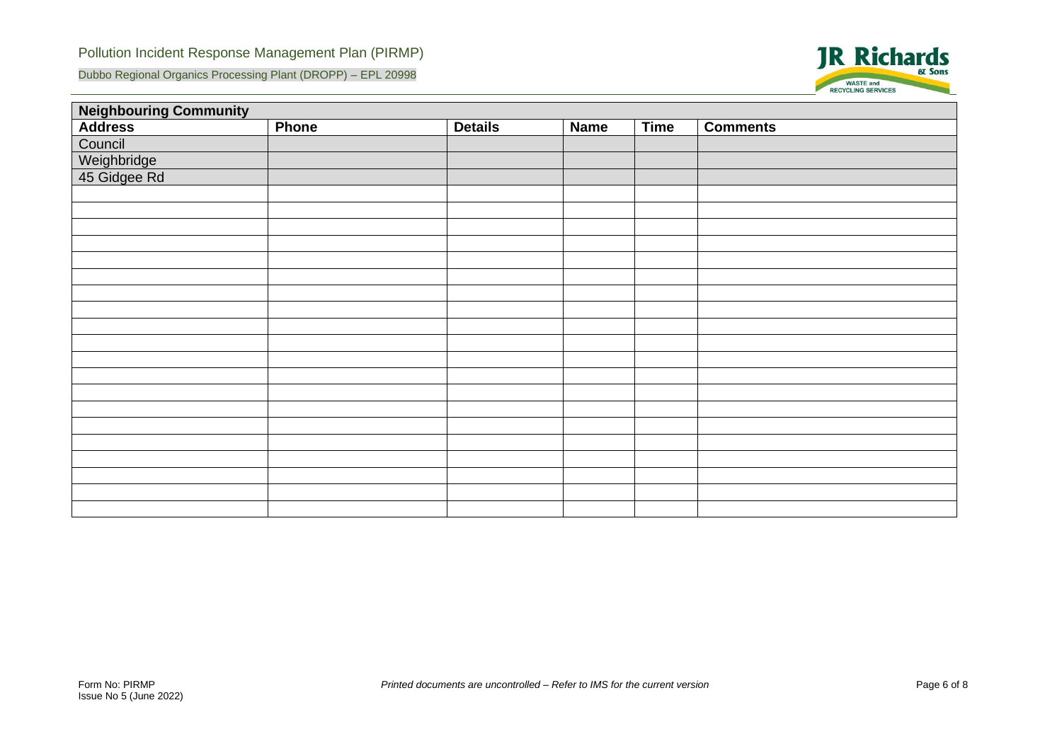Dubbo Regional Organics Processing Plant (DROPP) – EPL 20998



| <b>Neighbouring Community</b>          |       |                |             |             |                 |  |  |  |
|----------------------------------------|-------|----------------|-------------|-------------|-----------------|--|--|--|
| <b>Address</b>                         | Phone | <b>Details</b> | <b>Name</b> | <b>Time</b> | <b>Comments</b> |  |  |  |
| Council<br>Weighbridge<br>45 Gidgee Rd |       |                |             |             |                 |  |  |  |
|                                        |       |                |             |             |                 |  |  |  |
|                                        |       |                |             |             |                 |  |  |  |
|                                        |       |                |             |             |                 |  |  |  |
|                                        |       |                |             |             |                 |  |  |  |
|                                        |       |                |             |             |                 |  |  |  |
|                                        |       |                |             |             |                 |  |  |  |
|                                        |       |                |             |             |                 |  |  |  |
|                                        |       |                |             |             |                 |  |  |  |
|                                        |       |                |             |             |                 |  |  |  |
|                                        |       |                |             |             |                 |  |  |  |
|                                        |       |                |             |             |                 |  |  |  |
|                                        |       |                |             |             |                 |  |  |  |
|                                        |       |                |             |             |                 |  |  |  |
|                                        |       |                |             |             |                 |  |  |  |
|                                        |       |                |             |             |                 |  |  |  |
|                                        |       |                |             |             |                 |  |  |  |
|                                        |       |                |             |             |                 |  |  |  |
|                                        |       |                |             |             |                 |  |  |  |
|                                        |       |                |             |             |                 |  |  |  |
|                                        |       |                |             |             |                 |  |  |  |
|                                        |       |                |             |             |                 |  |  |  |
|                                        |       |                |             |             |                 |  |  |  |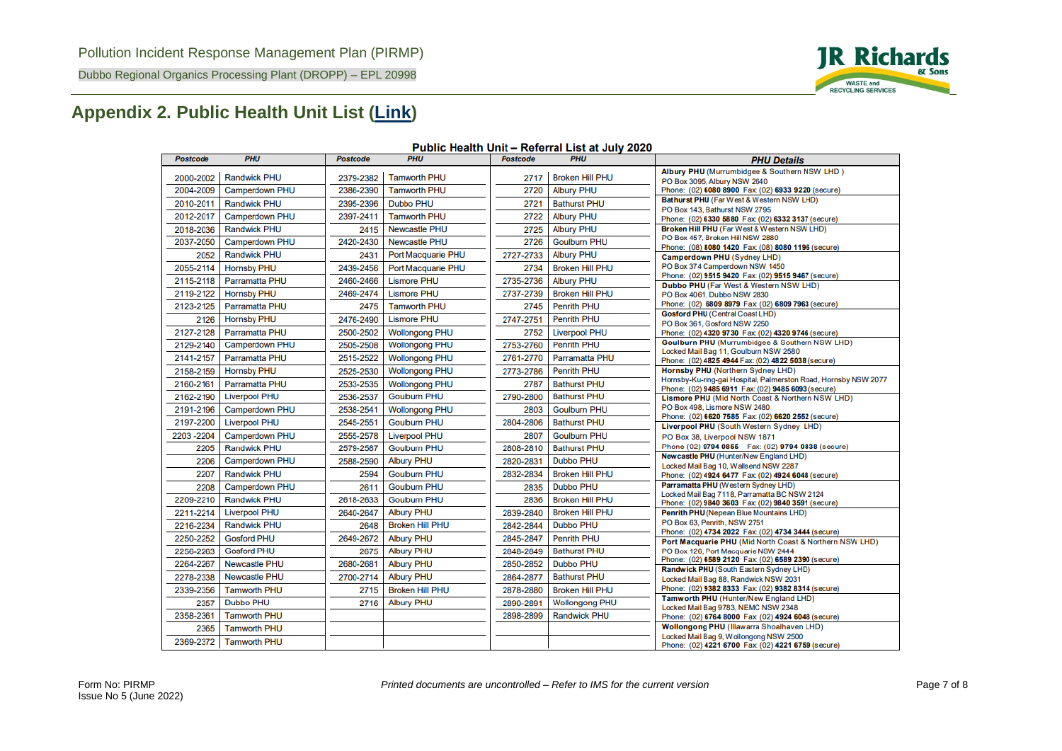

#### Dubbo Regional Organics Processing Plant (DROPP) – EPL 20998

## **Appendix 2. Public Health Unit List [\(Link\)](https://www.health.nsw.gov.au/Infectious/Documents/phu-referral-list.pdf)**

| Albury PHU (Murrumbidgee & Southern NSW LHD)<br><b>Randwick PHU</b><br><b>Broken Hill PHU</b><br><b>Tamworth PHU</b><br>2000-2002<br>2379-2382<br>2717<br>PO Box 3095, Albury NSW 2640<br>2004-2009<br>2386-2390<br><b>Tamworth PHU</b><br>2720<br><b>Albury PHU</b><br>Camperdown PHU<br>Phone: (02) 6080 8900 Fax: (02) 6933 9220 (secure)<br>Bathurst PHU (Far West & Western NSW LHD)<br>2010-2011<br><b>Randwick PHU</b><br>2395-2396<br><b>Dubbo PHU</b><br>2721<br><b>Bathurst PHU</b><br>PO Box 143, Bathurst NSW 2795<br><b>Tamworth PHU</b><br>2722<br>2012-2017<br>Camperdown PHU<br>2397-2411<br><b>Albury PHU</b><br>Phone: (02) 6330 5880 Fax: (02) 6332 3137 (secure)<br><b>Newcastle PHU</b><br>Broken Hill PHU (Far West & Western NSW LHD)<br><b>Randwick PHU</b><br><b>Albury PHU</b><br>2018-2036<br>2725<br>2415<br>PO Box 457, Broken Hill NSW 2880<br>2037-2050<br>2420-2430<br>2726<br><b>Goulburn PHU</b><br>Camperdown PHU<br><b>Newcastle PHU</b><br>Phone: (08) 8080 1420 Fax: (08) 8080 1196 (secure)<br><b>Randwick PHU</b><br>Port Macquarie PHU<br><b>Albury PHU</b><br>2052<br>2727-2733<br>2431<br>Camperdown PHU (Sydney LHD)<br>PO Box 374 Camperdown NSW 1450<br>2055-2114<br><b>Hornsby PHU</b><br>2439-2456<br>Port Macquarie PHU<br>2734<br><b>Broken Hill PHU</b><br>Phone: (02) 9515 9420 Fax: (02) 9515 9467 (secure)<br>2115-2118<br>Parramatta PHU<br>2460-2466<br><b>Lismore PHU</b><br>2735-2736<br><b>Albury PHU</b><br>Dubbo PHU (Far West & Western NSW LHD)<br>2119-2122<br><b>Hornsby PHU</b><br>2469-2474<br><b>Lismore PHU</b><br>2737-2739<br><b>Broken Hill PHU</b><br>PO Box 4061, Dubbo NSW 2830<br>Phone: (02) 6809 8979 Fax: (02) 6809 7963 (secure)<br>2123-2125<br>Parramatta PHU<br><b>Tamworth PHU</b><br>2475<br>2745<br><b>Penrith PHU</b><br>Gosford PHU (Central Coast LHD)<br><b>Hornsby PHU</b><br><b>Lismore PHU</b><br><b>Penrith PHU</b><br>2126<br>2476-2490<br>2747-2751<br>PO Box 361, Gosford NSW 2250<br>2127-2128<br>Parramatta PHU<br>2500-2502<br><b>Wollongong PHU</b><br>2752<br><b>Liverpool PHU</b><br>Phone: (02) 4320 9730 Fax: (02) 4320 9746 (secure)<br>Goulburn PHU (Murrumbidgee & Southern NSW LHD)<br><b>Wollongong PHU</b><br><b>Penrith PHU</b><br>Camperdown PHU<br>2753-2760<br>2129-2140<br>2505-2508<br>Locked Mail Bag 11, Goulburn NSW 2580<br>2515-2522<br>Parramatta PHU<br>2141-2157<br>Parramatta PHU<br><b>Wollongong PHU</b><br>2761-2770<br>Phone: (02) 4825 4944 Fax: (02) 4822 5038 (secure)<br><b>Penrith PHU</b><br>Hornsby PHU (Northern Sydney LHD)<br><b>Hornsby PHU</b><br><b>Wollongong PHU</b><br>2158-2159<br>2525-2530<br>2773-2786<br>Hornsby-Ku-ring-gai Hospital, Palmerston Road, Hornsby NSW 2077<br>2160-2161<br><b>Parramatta PHU</b><br>2533-2535<br>2787<br><b>Bathurst PHU</b><br><b>Wollongong PHU</b><br>Phone: (02) 9485 6911 Fax: (02) 9485 6093 (secure)<br><b>Liverpool PHU</b><br><b>Goulburn PHU</b><br><b>Bathurst PHU</b><br>2162-2190<br>2536-2537<br>2790-2800<br>Lismore PHU (Mid North Coast & Northern NSW LHD)<br>PO Box 498, Lismore NSW 2480<br>2191-2196<br><b>Camperdown PHU</b><br>2538-2541<br><b>Wollongong PHU</b><br>2803<br><b>Goulburn PHU</b><br>Phone: (02) 6620 7585 Fax: (02) 6620 2552 (secure)<br>2197-2200<br>2545-2551<br><b>Bathurst PHU</b><br><b>Liverpool PHU</b><br><b>Goulburn PHU</b><br>2804-2806<br>Liverpool PHU (South Western Sydney LHD)<br>2203-2204<br>Camperdown PHU<br>2555-2578<br><b>Liverpool PHU</b><br>2807<br><b>Goulburn PHU</b><br>PO Box 38, Liverpool NSW 1871<br>Phone (02) 9794 0855   Fax: (02) 9794 0838 (secure)<br>2205<br><b>Randwick PHU</b><br>2579-2587<br><b>Goulburn PHU</b><br>2808-2810<br><b>Bathurst PHU</b><br>Newcastle PHU (Hunter/New England LHD)<br>Camperdown PHU<br><b>Dubbo PHU</b><br><b>Albury PHU</b><br>2206<br>2588-2590<br>2820-2831<br>Locked Mail Bag 10, Wallsend NSW 2287 | <b>Postcode</b> | <b>PHU</b> | <b>Postcode</b> | <b>PHU</b> | <b>Postcode</b> | <b>PHU</b> | <b>PHU Details</b> |
|---------------------------------------------------------------------------------------------------------------------------------------------------------------------------------------------------------------------------------------------------------------------------------------------------------------------------------------------------------------------------------------------------------------------------------------------------------------------------------------------------------------------------------------------------------------------------------------------------------------------------------------------------------------------------------------------------------------------------------------------------------------------------------------------------------------------------------------------------------------------------------------------------------------------------------------------------------------------------------------------------------------------------------------------------------------------------------------------------------------------------------------------------------------------------------------------------------------------------------------------------------------------------------------------------------------------------------------------------------------------------------------------------------------------------------------------------------------------------------------------------------------------------------------------------------------------------------------------------------------------------------------------------------------------------------------------------------------------------------------------------------------------------------------------------------------------------------------------------------------------------------------------------------------------------------------------------------------------------------------------------------------------------------------------------------------------------------------------------------------------------------------------------------------------------------------------------------------------------------------------------------------------------------------------------------------------------------------------------------------------------------------------------------------------------------------------------------------------------------------------------------------------------------------------------------------------------------------------------------------------------------------------------------------------------------------------------------------------------------------------------------------------------------------------------------------------------------------------------------------------------------------------------------------------------------------------------------------------------------------------------------------------------------------------------------------------------------------------------------------------------------------------------------------------------------------------------------------------------------------------------------------------------------------------------------------------------------------------------------------------------------------------------------------------------------------------------------------------------------------------------------------------------------------------------------------------------------------------------------------------------------------------------------------------------------------------------------------------------------------------------------------------------------------------------------------------------------------------------------------------------------------------------------------|-----------------|------------|-----------------|------------|-----------------|------------|--------------------|
|                                                                                                                                                                                                                                                                                                                                                                                                                                                                                                                                                                                                                                                                                                                                                                                                                                                                                                                                                                                                                                                                                                                                                                                                                                                                                                                                                                                                                                                                                                                                                                                                                                                                                                                                                                                                                                                                                                                                                                                                                                                                                                                                                                                                                                                                                                                                                                                                                                                                                                                                                                                                                                                                                                                                                                                                                                                                                                                                                                                                                                                                                                                                                                                                                                                                                                                                                                                                                                                                                                                                                                                                                                                                                                                                                                                                                                                                                                               |                 |            |                 |            |                 |            |                    |
|                                                                                                                                                                                                                                                                                                                                                                                                                                                                                                                                                                                                                                                                                                                                                                                                                                                                                                                                                                                                                                                                                                                                                                                                                                                                                                                                                                                                                                                                                                                                                                                                                                                                                                                                                                                                                                                                                                                                                                                                                                                                                                                                                                                                                                                                                                                                                                                                                                                                                                                                                                                                                                                                                                                                                                                                                                                                                                                                                                                                                                                                                                                                                                                                                                                                                                                                                                                                                                                                                                                                                                                                                                                                                                                                                                                                                                                                                                               |                 |            |                 |            |                 |            |                    |
|                                                                                                                                                                                                                                                                                                                                                                                                                                                                                                                                                                                                                                                                                                                                                                                                                                                                                                                                                                                                                                                                                                                                                                                                                                                                                                                                                                                                                                                                                                                                                                                                                                                                                                                                                                                                                                                                                                                                                                                                                                                                                                                                                                                                                                                                                                                                                                                                                                                                                                                                                                                                                                                                                                                                                                                                                                                                                                                                                                                                                                                                                                                                                                                                                                                                                                                                                                                                                                                                                                                                                                                                                                                                                                                                                                                                                                                                                                               |                 |            |                 |            |                 |            |                    |
|                                                                                                                                                                                                                                                                                                                                                                                                                                                                                                                                                                                                                                                                                                                                                                                                                                                                                                                                                                                                                                                                                                                                                                                                                                                                                                                                                                                                                                                                                                                                                                                                                                                                                                                                                                                                                                                                                                                                                                                                                                                                                                                                                                                                                                                                                                                                                                                                                                                                                                                                                                                                                                                                                                                                                                                                                                                                                                                                                                                                                                                                                                                                                                                                                                                                                                                                                                                                                                                                                                                                                                                                                                                                                                                                                                                                                                                                                                               |                 |            |                 |            |                 |            |                    |
|                                                                                                                                                                                                                                                                                                                                                                                                                                                                                                                                                                                                                                                                                                                                                                                                                                                                                                                                                                                                                                                                                                                                                                                                                                                                                                                                                                                                                                                                                                                                                                                                                                                                                                                                                                                                                                                                                                                                                                                                                                                                                                                                                                                                                                                                                                                                                                                                                                                                                                                                                                                                                                                                                                                                                                                                                                                                                                                                                                                                                                                                                                                                                                                                                                                                                                                                                                                                                                                                                                                                                                                                                                                                                                                                                                                                                                                                                                               |                 |            |                 |            |                 |            |                    |
|                                                                                                                                                                                                                                                                                                                                                                                                                                                                                                                                                                                                                                                                                                                                                                                                                                                                                                                                                                                                                                                                                                                                                                                                                                                                                                                                                                                                                                                                                                                                                                                                                                                                                                                                                                                                                                                                                                                                                                                                                                                                                                                                                                                                                                                                                                                                                                                                                                                                                                                                                                                                                                                                                                                                                                                                                                                                                                                                                                                                                                                                                                                                                                                                                                                                                                                                                                                                                                                                                                                                                                                                                                                                                                                                                                                                                                                                                                               |                 |            |                 |            |                 |            |                    |
|                                                                                                                                                                                                                                                                                                                                                                                                                                                                                                                                                                                                                                                                                                                                                                                                                                                                                                                                                                                                                                                                                                                                                                                                                                                                                                                                                                                                                                                                                                                                                                                                                                                                                                                                                                                                                                                                                                                                                                                                                                                                                                                                                                                                                                                                                                                                                                                                                                                                                                                                                                                                                                                                                                                                                                                                                                                                                                                                                                                                                                                                                                                                                                                                                                                                                                                                                                                                                                                                                                                                                                                                                                                                                                                                                                                                                                                                                                               |                 |            |                 |            |                 |            |                    |
|                                                                                                                                                                                                                                                                                                                                                                                                                                                                                                                                                                                                                                                                                                                                                                                                                                                                                                                                                                                                                                                                                                                                                                                                                                                                                                                                                                                                                                                                                                                                                                                                                                                                                                                                                                                                                                                                                                                                                                                                                                                                                                                                                                                                                                                                                                                                                                                                                                                                                                                                                                                                                                                                                                                                                                                                                                                                                                                                                                                                                                                                                                                                                                                                                                                                                                                                                                                                                                                                                                                                                                                                                                                                                                                                                                                                                                                                                                               |                 |            |                 |            |                 |            |                    |
|                                                                                                                                                                                                                                                                                                                                                                                                                                                                                                                                                                                                                                                                                                                                                                                                                                                                                                                                                                                                                                                                                                                                                                                                                                                                                                                                                                                                                                                                                                                                                                                                                                                                                                                                                                                                                                                                                                                                                                                                                                                                                                                                                                                                                                                                                                                                                                                                                                                                                                                                                                                                                                                                                                                                                                                                                                                                                                                                                                                                                                                                                                                                                                                                                                                                                                                                                                                                                                                                                                                                                                                                                                                                                                                                                                                                                                                                                                               |                 |            |                 |            |                 |            |                    |
|                                                                                                                                                                                                                                                                                                                                                                                                                                                                                                                                                                                                                                                                                                                                                                                                                                                                                                                                                                                                                                                                                                                                                                                                                                                                                                                                                                                                                                                                                                                                                                                                                                                                                                                                                                                                                                                                                                                                                                                                                                                                                                                                                                                                                                                                                                                                                                                                                                                                                                                                                                                                                                                                                                                                                                                                                                                                                                                                                                                                                                                                                                                                                                                                                                                                                                                                                                                                                                                                                                                                                                                                                                                                                                                                                                                                                                                                                                               |                 |            |                 |            |                 |            |                    |
|                                                                                                                                                                                                                                                                                                                                                                                                                                                                                                                                                                                                                                                                                                                                                                                                                                                                                                                                                                                                                                                                                                                                                                                                                                                                                                                                                                                                                                                                                                                                                                                                                                                                                                                                                                                                                                                                                                                                                                                                                                                                                                                                                                                                                                                                                                                                                                                                                                                                                                                                                                                                                                                                                                                                                                                                                                                                                                                                                                                                                                                                                                                                                                                                                                                                                                                                                                                                                                                                                                                                                                                                                                                                                                                                                                                                                                                                                                               |                 |            |                 |            |                 |            |                    |
|                                                                                                                                                                                                                                                                                                                                                                                                                                                                                                                                                                                                                                                                                                                                                                                                                                                                                                                                                                                                                                                                                                                                                                                                                                                                                                                                                                                                                                                                                                                                                                                                                                                                                                                                                                                                                                                                                                                                                                                                                                                                                                                                                                                                                                                                                                                                                                                                                                                                                                                                                                                                                                                                                                                                                                                                                                                                                                                                                                                                                                                                                                                                                                                                                                                                                                                                                                                                                                                                                                                                                                                                                                                                                                                                                                                                                                                                                                               |                 |            |                 |            |                 |            |                    |
|                                                                                                                                                                                                                                                                                                                                                                                                                                                                                                                                                                                                                                                                                                                                                                                                                                                                                                                                                                                                                                                                                                                                                                                                                                                                                                                                                                                                                                                                                                                                                                                                                                                                                                                                                                                                                                                                                                                                                                                                                                                                                                                                                                                                                                                                                                                                                                                                                                                                                                                                                                                                                                                                                                                                                                                                                                                                                                                                                                                                                                                                                                                                                                                                                                                                                                                                                                                                                                                                                                                                                                                                                                                                                                                                                                                                                                                                                                               |                 |            |                 |            |                 |            |                    |
|                                                                                                                                                                                                                                                                                                                                                                                                                                                                                                                                                                                                                                                                                                                                                                                                                                                                                                                                                                                                                                                                                                                                                                                                                                                                                                                                                                                                                                                                                                                                                                                                                                                                                                                                                                                                                                                                                                                                                                                                                                                                                                                                                                                                                                                                                                                                                                                                                                                                                                                                                                                                                                                                                                                                                                                                                                                                                                                                                                                                                                                                                                                                                                                                                                                                                                                                                                                                                                                                                                                                                                                                                                                                                                                                                                                                                                                                                                               |                 |            |                 |            |                 |            |                    |
|                                                                                                                                                                                                                                                                                                                                                                                                                                                                                                                                                                                                                                                                                                                                                                                                                                                                                                                                                                                                                                                                                                                                                                                                                                                                                                                                                                                                                                                                                                                                                                                                                                                                                                                                                                                                                                                                                                                                                                                                                                                                                                                                                                                                                                                                                                                                                                                                                                                                                                                                                                                                                                                                                                                                                                                                                                                                                                                                                                                                                                                                                                                                                                                                                                                                                                                                                                                                                                                                                                                                                                                                                                                                                                                                                                                                                                                                                                               |                 |            |                 |            |                 |            |                    |
|                                                                                                                                                                                                                                                                                                                                                                                                                                                                                                                                                                                                                                                                                                                                                                                                                                                                                                                                                                                                                                                                                                                                                                                                                                                                                                                                                                                                                                                                                                                                                                                                                                                                                                                                                                                                                                                                                                                                                                                                                                                                                                                                                                                                                                                                                                                                                                                                                                                                                                                                                                                                                                                                                                                                                                                                                                                                                                                                                                                                                                                                                                                                                                                                                                                                                                                                                                                                                                                                                                                                                                                                                                                                                                                                                                                                                                                                                                               |                 |            |                 |            |                 |            |                    |
|                                                                                                                                                                                                                                                                                                                                                                                                                                                                                                                                                                                                                                                                                                                                                                                                                                                                                                                                                                                                                                                                                                                                                                                                                                                                                                                                                                                                                                                                                                                                                                                                                                                                                                                                                                                                                                                                                                                                                                                                                                                                                                                                                                                                                                                                                                                                                                                                                                                                                                                                                                                                                                                                                                                                                                                                                                                                                                                                                                                                                                                                                                                                                                                                                                                                                                                                                                                                                                                                                                                                                                                                                                                                                                                                                                                                                                                                                                               |                 |            |                 |            |                 |            |                    |
|                                                                                                                                                                                                                                                                                                                                                                                                                                                                                                                                                                                                                                                                                                                                                                                                                                                                                                                                                                                                                                                                                                                                                                                                                                                                                                                                                                                                                                                                                                                                                                                                                                                                                                                                                                                                                                                                                                                                                                                                                                                                                                                                                                                                                                                                                                                                                                                                                                                                                                                                                                                                                                                                                                                                                                                                                                                                                                                                                                                                                                                                                                                                                                                                                                                                                                                                                                                                                                                                                                                                                                                                                                                                                                                                                                                                                                                                                                               |                 |            |                 |            |                 |            |                    |
|                                                                                                                                                                                                                                                                                                                                                                                                                                                                                                                                                                                                                                                                                                                                                                                                                                                                                                                                                                                                                                                                                                                                                                                                                                                                                                                                                                                                                                                                                                                                                                                                                                                                                                                                                                                                                                                                                                                                                                                                                                                                                                                                                                                                                                                                                                                                                                                                                                                                                                                                                                                                                                                                                                                                                                                                                                                                                                                                                                                                                                                                                                                                                                                                                                                                                                                                                                                                                                                                                                                                                                                                                                                                                                                                                                                                                                                                                                               |                 |            |                 |            |                 |            |                    |
|                                                                                                                                                                                                                                                                                                                                                                                                                                                                                                                                                                                                                                                                                                                                                                                                                                                                                                                                                                                                                                                                                                                                                                                                                                                                                                                                                                                                                                                                                                                                                                                                                                                                                                                                                                                                                                                                                                                                                                                                                                                                                                                                                                                                                                                                                                                                                                                                                                                                                                                                                                                                                                                                                                                                                                                                                                                                                                                                                                                                                                                                                                                                                                                                                                                                                                                                                                                                                                                                                                                                                                                                                                                                                                                                                                                                                                                                                                               |                 |            |                 |            |                 |            |                    |
|                                                                                                                                                                                                                                                                                                                                                                                                                                                                                                                                                                                                                                                                                                                                                                                                                                                                                                                                                                                                                                                                                                                                                                                                                                                                                                                                                                                                                                                                                                                                                                                                                                                                                                                                                                                                                                                                                                                                                                                                                                                                                                                                                                                                                                                                                                                                                                                                                                                                                                                                                                                                                                                                                                                                                                                                                                                                                                                                                                                                                                                                                                                                                                                                                                                                                                                                                                                                                                                                                                                                                                                                                                                                                                                                                                                                                                                                                                               |                 |            |                 |            |                 |            |                    |
|                                                                                                                                                                                                                                                                                                                                                                                                                                                                                                                                                                                                                                                                                                                                                                                                                                                                                                                                                                                                                                                                                                                                                                                                                                                                                                                                                                                                                                                                                                                                                                                                                                                                                                                                                                                                                                                                                                                                                                                                                                                                                                                                                                                                                                                                                                                                                                                                                                                                                                                                                                                                                                                                                                                                                                                                                                                                                                                                                                                                                                                                                                                                                                                                                                                                                                                                                                                                                                                                                                                                                                                                                                                                                                                                                                                                                                                                                                               |                 |            |                 |            |                 |            |                    |
|                                                                                                                                                                                                                                                                                                                                                                                                                                                                                                                                                                                                                                                                                                                                                                                                                                                                                                                                                                                                                                                                                                                                                                                                                                                                                                                                                                                                                                                                                                                                                                                                                                                                                                                                                                                                                                                                                                                                                                                                                                                                                                                                                                                                                                                                                                                                                                                                                                                                                                                                                                                                                                                                                                                                                                                                                                                                                                                                                                                                                                                                                                                                                                                                                                                                                                                                                                                                                                                                                                                                                                                                                                                                                                                                                                                                                                                                                                               |                 |            |                 |            |                 |            |                    |
|                                                                                                                                                                                                                                                                                                                                                                                                                                                                                                                                                                                                                                                                                                                                                                                                                                                                                                                                                                                                                                                                                                                                                                                                                                                                                                                                                                                                                                                                                                                                                                                                                                                                                                                                                                                                                                                                                                                                                                                                                                                                                                                                                                                                                                                                                                                                                                                                                                                                                                                                                                                                                                                                                                                                                                                                                                                                                                                                                                                                                                                                                                                                                                                                                                                                                                                                                                                                                                                                                                                                                                                                                                                                                                                                                                                                                                                                                                               |                 |            |                 |            |                 |            |                    |
|                                                                                                                                                                                                                                                                                                                                                                                                                                                                                                                                                                                                                                                                                                                                                                                                                                                                                                                                                                                                                                                                                                                                                                                                                                                                                                                                                                                                                                                                                                                                                                                                                                                                                                                                                                                                                                                                                                                                                                                                                                                                                                                                                                                                                                                                                                                                                                                                                                                                                                                                                                                                                                                                                                                                                                                                                                                                                                                                                                                                                                                                                                                                                                                                                                                                                                                                                                                                                                                                                                                                                                                                                                                                                                                                                                                                                                                                                                               |                 |            |                 |            |                 |            |                    |
| <b>Broken Hill PHU</b><br>2207<br><b>Randwick PHU</b><br>2594<br><b>Goulburn PHU</b><br>2832-2834<br>Phone: (02) 4924 6477 Fax: (02) 4924 6048 (secure)                                                                                                                                                                                                                                                                                                                                                                                                                                                                                                                                                                                                                                                                                                                                                                                                                                                                                                                                                                                                                                                                                                                                                                                                                                                                                                                                                                                                                                                                                                                                                                                                                                                                                                                                                                                                                                                                                                                                                                                                                                                                                                                                                                                                                                                                                                                                                                                                                                                                                                                                                                                                                                                                                                                                                                                                                                                                                                                                                                                                                                                                                                                                                                                                                                                                                                                                                                                                                                                                                                                                                                                                                                                                                                                                                       |                 |            |                 |            |                 |            |                    |
| Parramatta PHU (Western Sydney LHD)<br><b>Dubbo PHU</b><br>Camperdown PHU<br><b>Goulburn PHU</b><br>2208<br>2611<br>2835<br>Locked Mail Bag 7118, Parramatta BC NSW 2124                                                                                                                                                                                                                                                                                                                                                                                                                                                                                                                                                                                                                                                                                                                                                                                                                                                                                                                                                                                                                                                                                                                                                                                                                                                                                                                                                                                                                                                                                                                                                                                                                                                                                                                                                                                                                                                                                                                                                                                                                                                                                                                                                                                                                                                                                                                                                                                                                                                                                                                                                                                                                                                                                                                                                                                                                                                                                                                                                                                                                                                                                                                                                                                                                                                                                                                                                                                                                                                                                                                                                                                                                                                                                                                                      |                 |            |                 |            |                 |            |                    |
| 2209-2210<br><b>Broken Hill PHU</b><br><b>Randwick PHU</b><br>2618-2633<br><b>Goulburn PHU</b><br>2836<br>Phone: (02) 9840 3603 Fax: (02) 9840 3591 (secure)                                                                                                                                                                                                                                                                                                                                                                                                                                                                                                                                                                                                                                                                                                                                                                                                                                                                                                                                                                                                                                                                                                                                                                                                                                                                                                                                                                                                                                                                                                                                                                                                                                                                                                                                                                                                                                                                                                                                                                                                                                                                                                                                                                                                                                                                                                                                                                                                                                                                                                                                                                                                                                                                                                                                                                                                                                                                                                                                                                                                                                                                                                                                                                                                                                                                                                                                                                                                                                                                                                                                                                                                                                                                                                                                                  |                 |            |                 |            |                 |            |                    |
| <b>Broken Hill PHU</b><br><b>Liverpool PHU</b><br><b>Albury PHU</b><br>2211-2214<br>2640-2647<br>2839-2840<br>Penrith PHU (Nepean Blue Mountains LHD)                                                                                                                                                                                                                                                                                                                                                                                                                                                                                                                                                                                                                                                                                                                                                                                                                                                                                                                                                                                                                                                                                                                                                                                                                                                                                                                                                                                                                                                                                                                                                                                                                                                                                                                                                                                                                                                                                                                                                                                                                                                                                                                                                                                                                                                                                                                                                                                                                                                                                                                                                                                                                                                                                                                                                                                                                                                                                                                                                                                                                                                                                                                                                                                                                                                                                                                                                                                                                                                                                                                                                                                                                                                                                                                                                         |                 |            |                 |            |                 |            |                    |
| PO Box 63, Penrith, NSW 2751<br><b>Randwick PHU</b><br><b>Broken Hill PHU</b><br><b>Dubbo PHU</b><br>2216-2234<br>2648<br>2842-2844<br>Phone: (02) 4734 2022 Fax: (02) 4734 3444 (secure)                                                                                                                                                                                                                                                                                                                                                                                                                                                                                                                                                                                                                                                                                                                                                                                                                                                                                                                                                                                                                                                                                                                                                                                                                                                                                                                                                                                                                                                                                                                                                                                                                                                                                                                                                                                                                                                                                                                                                                                                                                                                                                                                                                                                                                                                                                                                                                                                                                                                                                                                                                                                                                                                                                                                                                                                                                                                                                                                                                                                                                                                                                                                                                                                                                                                                                                                                                                                                                                                                                                                                                                                                                                                                                                     |                 |            |                 |            |                 |            |                    |
| 2250-2252<br>2845-2847<br><b>Penrith PHU</b><br><b>Gosford PHU</b><br>2649-2672<br><b>Albury PHU</b><br>Port Macquarie PHU (Mid North Coast & Northern NSW LHD)                                                                                                                                                                                                                                                                                                                                                                                                                                                                                                                                                                                                                                                                                                                                                                                                                                                                                                                                                                                                                                                                                                                                                                                                                                                                                                                                                                                                                                                                                                                                                                                                                                                                                                                                                                                                                                                                                                                                                                                                                                                                                                                                                                                                                                                                                                                                                                                                                                                                                                                                                                                                                                                                                                                                                                                                                                                                                                                                                                                                                                                                                                                                                                                                                                                                                                                                                                                                                                                                                                                                                                                                                                                                                                                                               |                 |            |                 |            |                 |            |                    |
| <b>Gosford PHU</b><br><b>Albury PHU</b><br><b>Bathurst PHU</b><br>2256-2263<br>2848-2849<br>PO Box 126, Port Macquarie NSW 2444<br>2675                                                                                                                                                                                                                                                                                                                                                                                                                                                                                                                                                                                                                                                                                                                                                                                                                                                                                                                                                                                                                                                                                                                                                                                                                                                                                                                                                                                                                                                                                                                                                                                                                                                                                                                                                                                                                                                                                                                                                                                                                                                                                                                                                                                                                                                                                                                                                                                                                                                                                                                                                                                                                                                                                                                                                                                                                                                                                                                                                                                                                                                                                                                                                                                                                                                                                                                                                                                                                                                                                                                                                                                                                                                                                                                                                                       |                 |            |                 |            |                 |            |                    |
| 2264-2267<br><b>Newcastle PHU</b><br>2680-2681<br><b>Albury PHU</b><br>2850-2852<br><b>Dubbo PHU</b><br>Randwick PHU (South Eastern Sydney LHD)                                                                                                                                                                                                                                                                                                                                                                                                                                                                                                                                                                                                                                                                                                                                                                                                                                                                                                                                                                                                                                                                                                                                                                                                                                                                                                                                                                                                                                                                                                                                                                                                                                                                                                                                                                                                                                                                                                                                                                                                                                                                                                                                                                                                                                                                                                                                                                                                                                                                                                                                                                                                                                                                                                                                                                                                                                                                                                                                                                                                                                                                                                                                                                                                                                                                                                                                                                                                                                                                                                                                                                                                                                                                                                                                                               |                 |            |                 |            |                 |            |                    |
| <b>Bathurst PHU</b><br><b>Newcastle PHU</b><br><b>Albury PHU</b><br>2278-2338<br>2700-2714<br>2864-2877<br>Locked Mail Bag 88, Randwick NSW 2031                                                                                                                                                                                                                                                                                                                                                                                                                                                                                                                                                                                                                                                                                                                                                                                                                                                                                                                                                                                                                                                                                                                                                                                                                                                                                                                                                                                                                                                                                                                                                                                                                                                                                                                                                                                                                                                                                                                                                                                                                                                                                                                                                                                                                                                                                                                                                                                                                                                                                                                                                                                                                                                                                                                                                                                                                                                                                                                                                                                                                                                                                                                                                                                                                                                                                                                                                                                                                                                                                                                                                                                                                                                                                                                                                              |                 |            |                 |            |                 |            |                    |
| Phone: (02) 9382 8333 Fax: (02) 9382 8314 (secure)<br><b>Broken Hill PHU</b><br>2339-2356<br><b>Tamworth PHU</b><br>2715<br>2878-2880<br><b>Broken Hill PHU</b>                                                                                                                                                                                                                                                                                                                                                                                                                                                                                                                                                                                                                                                                                                                                                                                                                                                                                                                                                                                                                                                                                                                                                                                                                                                                                                                                                                                                                                                                                                                                                                                                                                                                                                                                                                                                                                                                                                                                                                                                                                                                                                                                                                                                                                                                                                                                                                                                                                                                                                                                                                                                                                                                                                                                                                                                                                                                                                                                                                                                                                                                                                                                                                                                                                                                                                                                                                                                                                                                                                                                                                                                                                                                                                                                               |                 |            |                 |            |                 |            |                    |
| Tamworth PHU (Hunter/New England LHD)<br><b>Dubbo PHU</b><br><b>Albury PHU</b><br><b>Wollongong PHU</b><br>2357<br>2716<br>2890-2891                                                                                                                                                                                                                                                                                                                                                                                                                                                                                                                                                                                                                                                                                                                                                                                                                                                                                                                                                                                                                                                                                                                                                                                                                                                                                                                                                                                                                                                                                                                                                                                                                                                                                                                                                                                                                                                                                                                                                                                                                                                                                                                                                                                                                                                                                                                                                                                                                                                                                                                                                                                                                                                                                                                                                                                                                                                                                                                                                                                                                                                                                                                                                                                                                                                                                                                                                                                                                                                                                                                                                                                                                                                                                                                                                                          |                 |            |                 |            |                 |            |                    |
| Locked Mail Bag 9783, NEMC NSW 2348<br>2358-2361<br><b>Tamworth PHU</b><br>2898-2899<br><b>Randwick PHU</b><br>Phone: (02) 6764 8000 Fax: (02) 4924 6048 (secure)                                                                                                                                                                                                                                                                                                                                                                                                                                                                                                                                                                                                                                                                                                                                                                                                                                                                                                                                                                                                                                                                                                                                                                                                                                                                                                                                                                                                                                                                                                                                                                                                                                                                                                                                                                                                                                                                                                                                                                                                                                                                                                                                                                                                                                                                                                                                                                                                                                                                                                                                                                                                                                                                                                                                                                                                                                                                                                                                                                                                                                                                                                                                                                                                                                                                                                                                                                                                                                                                                                                                                                                                                                                                                                                                             |                 |            |                 |            |                 |            |                    |
| <b>Wollongong PHU (Illawarra Shoalhaven LHD)</b><br>2365<br><b>Tamworth PHU</b>                                                                                                                                                                                                                                                                                                                                                                                                                                                                                                                                                                                                                                                                                                                                                                                                                                                                                                                                                                                                                                                                                                                                                                                                                                                                                                                                                                                                                                                                                                                                                                                                                                                                                                                                                                                                                                                                                                                                                                                                                                                                                                                                                                                                                                                                                                                                                                                                                                                                                                                                                                                                                                                                                                                                                                                                                                                                                                                                                                                                                                                                                                                                                                                                                                                                                                                                                                                                                                                                                                                                                                                                                                                                                                                                                                                                                               |                 |            |                 |            |                 |            |                    |
| Locked Mail Bag 9, Wollongong NSW 2500<br>2369-2372<br><b>Tamworth PHU</b><br>Phone: (02) 4221 6700 Fax: (02) 4221 6759 (secure)                                                                                                                                                                                                                                                                                                                                                                                                                                                                                                                                                                                                                                                                                                                                                                                                                                                                                                                                                                                                                                                                                                                                                                                                                                                                                                                                                                                                                                                                                                                                                                                                                                                                                                                                                                                                                                                                                                                                                                                                                                                                                                                                                                                                                                                                                                                                                                                                                                                                                                                                                                                                                                                                                                                                                                                                                                                                                                                                                                                                                                                                                                                                                                                                                                                                                                                                                                                                                                                                                                                                                                                                                                                                                                                                                                              |                 |            |                 |            |                 |            |                    |

#### Public Health Unit - Referral List at July 2020